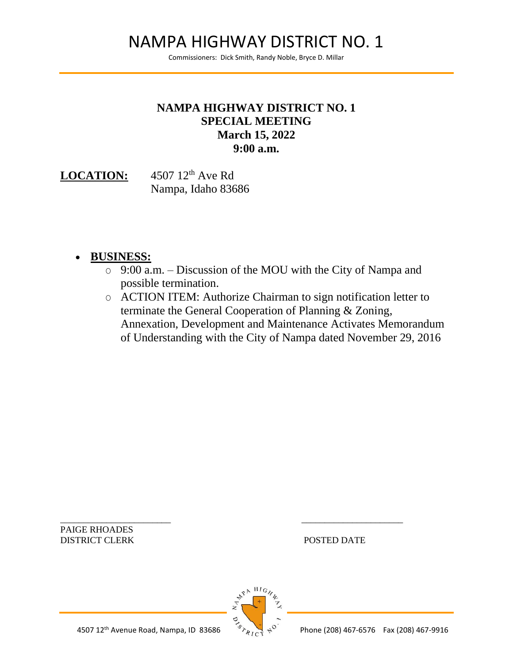## NAMPA HIGHWAY DISTRICT NO. 1

Commissioners: Dick Smith, Randy Noble, Bryce D. Millar

## **NAMPA HIGHWAY DISTRICT NO. 1 SPECIAL MEETING March 15, 2022 9:00 a.m.**

LOCATION: 4507 12<sup>th</sup> Ave Rd Nampa, Idaho 83686

## • **BUSINESS:**

- O 9:00 a.m. Discussion of the MOU with the City of Nampa and possible termination.
- O ACTION ITEM: Authorize Chairman to sign notification letter to terminate the General Cooperation of Planning & Zoning, Annexation, Development and Maintenance Activates Memorandum of Understanding with the City of Nampa dated November 29, 2016

\_\_\_\_\_\_\_\_\_\_\_\_\_\_\_\_\_\_\_\_\_\_\_\_ \_\_\_\_\_\_\_\_\_\_\_\_\_\_\_\_\_\_\_\_\_\_ PAIGE RHOADES DISTRICT CLERK POSTED DATE